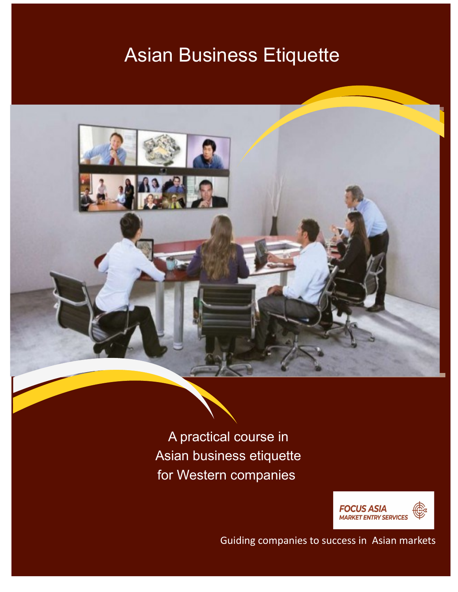# Asian Business Etiquette



A practical course in Asian business etiquette for Western companies



Guiding companies to success in Asian markets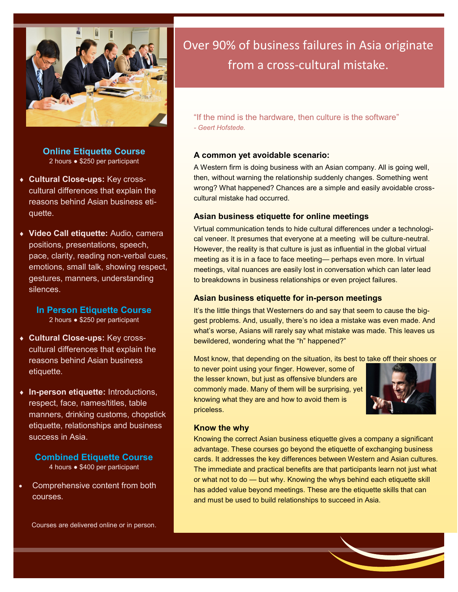

**Online Etiquette Course** 2 hours ● \$250 per participant

- **Cultural Close-ups:** Key crosscultural differences that explain the reasons behind Asian business etiquette.
- **Video Call etiquette:** Audio, camera positions, presentations, speech, pace, clarity, reading non-verbal cues, emotions, small talk, showing respect, gestures, manners, understanding silences.
	- **In Person Etiquette Course** 2 hours ● \$250 per participant
- **Cultural Close-ups:** Key crosscultural differences that explain the reasons behind Asian business etiquette.
- **In-person etiquette:** Introductions, respect, face, names/titles, table manners, drinking customs, chopstick etiquette, relationships and business success in Asia.

**Combined Etiquette Course** 4 hours ● \$400 per participant

• Comprehensive content from both courses.

Courses are delivered online or in person.

# Over 90% of business failures in Asia originate from a cross-cultural mistake.

"If the mind is the hardware, then culture is the software" *- Geert Hofstede.* 

#### **A common yet avoidable scenario:**

A Western firm is doing business with an Asian company. All is going well, then, without warning the relationship suddenly changes. Something went wrong? What happened? Chances are a simple and easily avoidable crosscultural mistake had occurred.

#### **Asian business etiquette for online meetings**

Virtual communication tends to hide cultural differences under a technological veneer. It presumes that everyone at a meeting will be culture-neutral. However, the reality is that culture is just as influential in the global virtual meeting as it is in a face to face meeting— perhaps even more. In virtual meetings, vital nuances are easily lost in conversation which can later lead to breakdowns in business relationships or even project failures.

#### **Asian business etiquette for in-person meetings**

It's the little things that Westerners do and say that seem to cause the biggest problems. And, usually, there's no idea a mistake was even made. And what's worse, Asians will rarely say what mistake was made. This leaves us bewildered, wondering what the "h" happened?"

Most know, that depending on the situation, its best to take off their shoes or

to never point using your finger. However, some of the lesser known, but just as offensive blunders are commonly made. Many of them will be surprising, yet knowing what they are and how to avoid them is priceless.



#### **Know the why**

Knowing the correct Asian business etiquette gives a company a significant advantage. These courses go beyond the etiquette of exchanging business cards. It addresses the key differences between Western and Asian cultures. The immediate and practical benefits are that participants learn not just what or what not to do — but why. Knowing the whys behind each etiquette skill has added value beyond meetings. These are the etiquette skills that can and must be used to build relationships to succeed in Asia.